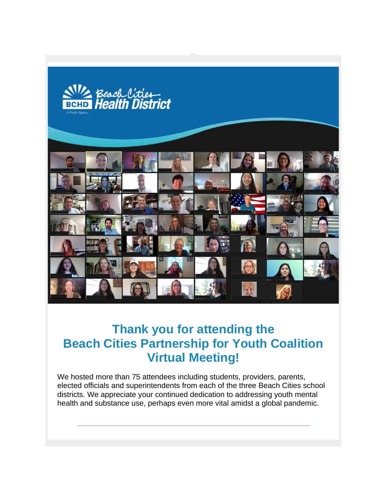

# **Thank you for attending the Beach Cities Partnership for Youth Coalition Virtual Meeting!**

We hosted more than 75 attendees including students, providers, parents, elected officials and superintendents from each of the three Beach Cities school districts. We appreciate your continued dedication to addressing youth mental health and substance use, perhaps even more vital amidst a global pandemic.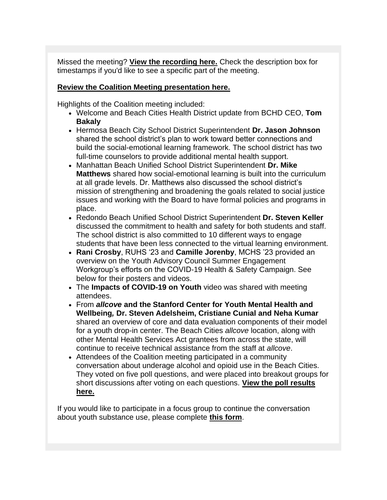Missed the meeting? **[View the recording here.](http://r20.rs6.net/tn.jsp?f=001lmS1aLiNpzLPCwx1PgYfG0Yn3lObkjV6qeF45zQe-mvtxCCeZbn_oKOpR_tPvs3pQefyq3ReYpjen5jlSSjopc0H4B8Ig7AN_Djncbtne4ZqF4sqUWxey3vhhWZMtICBHpFG3464-FsGn8a8nyTSYhtWaLxBajxP9P2l5BDasxXAUtw73FOeVg==&c=dBmHm-3bOmAAyxZrOWuoy647FXY7c3k2KZGDdEqU7FBAlhcnJnQHQQ==&ch=R9oOduerFpqa_Eh7Hfh-rFIVov_RUG-vPU-hci9-KaSsR5gkr12ncw==)** Check the description box for timestamps if you'd like to see a specific part of the meeting.

#### **[Review the Coalition Meeting presentation here.](http://r20.rs6.net/tn.jsp?f=001lmS1aLiNpzLPCwx1PgYfG0Yn3lObkjV6qeF45zQe-mvtxCCeZbn_oKOpR_tPvs3pM2DvXL2C1ymkSwvs76sRFXCF69uiveFzDodKLQMQ_dtWjf_nCPHqHFL_61h188148-zKEyPlBDhG4Xd5eO0VCjge2OXlVUVKyDG35aUicr54_iLduaUo9bJTJ0OavXQGxnjXqSeO0qQtyNwYwVLpHQ==&c=dBmHm-3bOmAAyxZrOWuoy647FXY7c3k2KZGDdEqU7FBAlhcnJnQHQQ==&ch=R9oOduerFpqa_Eh7Hfh-rFIVov_RUG-vPU-hci9-KaSsR5gkr12ncw==)**

Highlights of the Coalition meeting included:

- Welcome and Beach Cities Health District update from BCHD CEO, **Tom Bakaly**
- Hermosa Beach City School District Superintendent **Dr. Jason Johnson** shared the school district's plan to work toward better connections and build the social-emotional learning framework. The school district has two full-time counselors to provide additional mental health support.
- Manhattan Beach Unified School District Superintendent **Dr. Mike Matthews** shared how social-emotional learning is built into the curriculum at all grade levels. Dr. Matthews also discussed the school district's mission of strengthening and broadening the goals related to social justice issues and working with the Board to have formal policies and programs in place.
- Redondo Beach Unified School District Superintendent **Dr. Steven Keller** discussed the commitment to health and safety for both students and staff. The school district is also committed to 10 different ways to engage students that have been less connected to the virtual learning environment.
- **Rani Crosby**, RUHS '23 and **Camille Jorenby**, MCHS '23 provided an overview on the Youth Advisory Council Summer Engagement Workgroup's efforts on the COVID-19 Health & Safety Campaign. See below for their posters and videos.
- The **Impacts of COVID-19 on Youth** video was shared with meeting attendees.
- From *allcove* **and the Stanford Center for Youth Mental Health and Wellbeing***,* **Dr. Steven Adelsheim, Cristiane Cunial and Neha Kumar** shared an overview of core and data evaluation components of their model for a youth drop-in center. The Beach Cities *allcove* location, along with other Mental Health Services Act grantees from across the state, will continue to receive technical assistance from the staff at *allcove*.
- Attendees of the Coalition meeting participated in a community conversation about underage alcohol and opioid use in the Beach Cities. They voted on five poll questions, and were placed into breakout groups for short discussions after voting on each questions. **[View the poll results](http://r20.rs6.net/tn.jsp?f=001lmS1aLiNpzLPCwx1PgYfG0Yn3lObkjV6qeF45zQe-mvtxCCeZbn_oKOpR_tPvs3p7dVpFrVAXr3bDvMf4k2ZsIPaVC7doECRaUVqiGr_zfd3-Jak7dA7DnHyW4o5CpY89380hps-nPXXEkc2ehUUwEqCpTZBvdk4oSLn35qoskHD5UcY3uVEOANKRiReVmMaV3gXDpcTyBEVriucPdQjjL90JXWZLqBc_CGZ1kH75ae40CZQVBdL1Tr4ODR9WYNW68t_BIGfXdl74g2nBok2LxtBM1jBrtOe&c=dBmHm-3bOmAAyxZrOWuoy647FXY7c3k2KZGDdEqU7FBAlhcnJnQHQQ==&ch=R9oOduerFpqa_Eh7Hfh-rFIVov_RUG-vPU-hci9-KaSsR5gkr12ncw==)  [here.](http://r20.rs6.net/tn.jsp?f=001lmS1aLiNpzLPCwx1PgYfG0Yn3lObkjV6qeF45zQe-mvtxCCeZbn_oKOpR_tPvs3p7dVpFrVAXr3bDvMf4k2ZsIPaVC7doECRaUVqiGr_zfd3-Jak7dA7DnHyW4o5CpY89380hps-nPXXEkc2ehUUwEqCpTZBvdk4oSLn35qoskHD5UcY3uVEOANKRiReVmMaV3gXDpcTyBEVriucPdQjjL90JXWZLqBc_CGZ1kH75ae40CZQVBdL1Tr4ODR9WYNW68t_BIGfXdl74g2nBok2LxtBM1jBrtOe&c=dBmHm-3bOmAAyxZrOWuoy647FXY7c3k2KZGDdEqU7FBAlhcnJnQHQQ==&ch=R9oOduerFpqa_Eh7Hfh-rFIVov_RUG-vPU-hci9-KaSsR5gkr12ncw==)**

If you would like to participate in a focus group to continue the conversation about youth substance use, please complete **[this form](http://r20.rs6.net/tn.jsp?f=001lmS1aLiNpzLPCwx1PgYfG0Yn3lObkjV6qeF45zQe-mvtxCCeZbn_oKOpR_tPvs3pHItNJtgoY8h3ci8E0Z9BGdpOwQE05RZxTF93PknihcaidhUIbqzX0s8IxZYVm7aYmhqa9qDSs1qJUkFvQUWdQedNvEbWFuKje9XmUhuWTGmZe2yxxNneTGjGsNwoaMLAZau9FHKuDtI=&c=dBmHm-3bOmAAyxZrOWuoy647FXY7c3k2KZGDdEqU7FBAlhcnJnQHQQ==&ch=R9oOduerFpqa_Eh7Hfh-rFIVov_RUG-vPU-hci9-KaSsR5gkr12ncw==)**.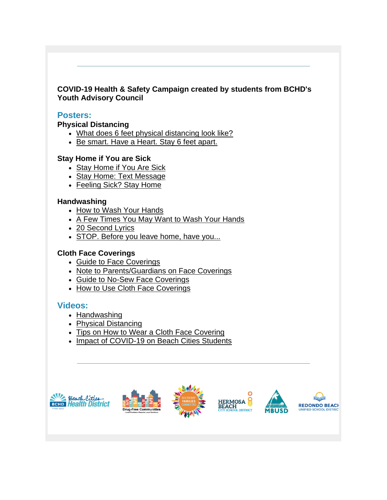## **COVID-19 Health & Safety Campaign created by students from BCHD's Youth Advisory Council**

## **Posters:**

**Physical Distancing**

- [What does 6 feet physical distancing look like?](http://r20.rs6.net/tn.jsp?f=001lmS1aLiNpzLPCwx1PgYfG0Yn3lObkjV6qeF45zQe-mvtxCCeZbn_oKOpR_tPvs3pQfAZWHAuuK3_IBywVpWROJrlOcN4WVS9e3aUB1guqj0gsfgzZUJkClDJ1wWi3I8NhYCHMCaz7p-yrj-nrp4N0TV5zN9R7aUmqZrPS5-QK1EsEn3C3upGV8Vd-LcmuHyqyX89z2y5OKakpxcZw-A5X0xX-rZojRedId93_OXaHynZ-5izyXP_W3Bal2ndSwbJW3uKyeqv1LA=&c=dBmHm-3bOmAAyxZrOWuoy647FXY7c3k2KZGDdEqU7FBAlhcnJnQHQQ==&ch=R9oOduerFpqa_Eh7Hfh-rFIVov_RUG-vPU-hci9-KaSsR5gkr12ncw==)
- [Be smart. Have a Heart. Stay 6 feet apart.](http://r20.rs6.net/tn.jsp?f=001lmS1aLiNpzLPCwx1PgYfG0Yn3lObkjV6qeF45zQe-mvtxCCeZbn_oKOpR_tPvs3peK1Lb3jnlcsT_GvHbam_OU3sajeRNvNMzGLnffuwhc2Tm-3oHu97dIGsKf3p-drphRgHb64uRg0l0dGFFR3tbXyJvorBmEUNRfPPldt7PleaKfdy18lZo4jKVyvaVWmg5Pw0UF-Ty9Uus797RwLRQ4rmpKVv2wwu&c=dBmHm-3bOmAAyxZrOWuoy647FXY7c3k2KZGDdEqU7FBAlhcnJnQHQQ==&ch=R9oOduerFpqa_Eh7Hfh-rFIVov_RUG-vPU-hci9-KaSsR5gkr12ncw==)

#### **Stay Home if You are Sick**

- [Stay Home if You Are Sick](http://r20.rs6.net/tn.jsp?f=001lmS1aLiNpzLPCwx1PgYfG0Yn3lObkjV6qeF45zQe-mvtxCCeZbn_oKOpR_tPvs3p345uQbWj4oaM07EFtKHL2yE5lZiLH0MZPinGrx-LjI_OvO2l1G7f6bAVKe7FPHuK6aGuXX3xbuAeTOTGt4GBFxaQ62RfhSlmnjrujMsdyhgnQ_knZeFde1LPMh8-Btg4558xz6MCptBKEwB76upDudFuyuMMZXY-&c=dBmHm-3bOmAAyxZrOWuoy647FXY7c3k2KZGDdEqU7FBAlhcnJnQHQQ==&ch=R9oOduerFpqa_Eh7Hfh-rFIVov_RUG-vPU-hci9-KaSsR5gkr12ncw==)
- [Stay Home: Text Message](http://r20.rs6.net/tn.jsp?f=001lmS1aLiNpzLPCwx1PgYfG0Yn3lObkjV6qeF45zQe-mvtxCCeZbn_oKOpR_tPvs3poGNphxF931FHMaZNxoB1zFlAubVaCVddRPNm_lJFFdB8dPnUz8B01hh7RjgdF6S71tvEvM6ES-9mnM64YN6zwEt8j4b2tjHpHYtI2weefyNOpJbPQ13lm8OzUQSiREed-CFs7VLbSFzcg2o1k7SEU8D4yrtBMffdzAVobTmEWD8=&c=dBmHm-3bOmAAyxZrOWuoy647FXY7c3k2KZGDdEqU7FBAlhcnJnQHQQ==&ch=R9oOduerFpqa_Eh7Hfh-rFIVov_RUG-vPU-hci9-KaSsR5gkr12ncw==)
- [Feeling Sick? Stay Home](http://r20.rs6.net/tn.jsp?f=001lmS1aLiNpzLPCwx1PgYfG0Yn3lObkjV6qeF45zQe-mvtxCCeZbn_oKOpR_tPvs3pbU8LKD3tR-P_0A0OdmKejIHn-8QfY5eZL_d7m8QbpWBSFOM6TmCHhbIxqebQiG-CsCf0wmWUnGrBPDSFi12bRvtWbvL8uWc5rFuNFoKXKuyZALCWTgTXdrEexf5FskxbM8c_tbFrzzo7x_N1SpuLGQbzV8wRfN59fFpULaG2z_A=&c=dBmHm-3bOmAAyxZrOWuoy647FXY7c3k2KZGDdEqU7FBAlhcnJnQHQQ==&ch=R9oOduerFpqa_Eh7Hfh-rFIVov_RUG-vPU-hci9-KaSsR5gkr12ncw==)

#### **Handwashing**

- [How to Wash Your Hands](http://r20.rs6.net/tn.jsp?f=001lmS1aLiNpzLPCwx1PgYfG0Yn3lObkjV6qeF45zQe-mvtxCCeZbn_oKOpR_tPvs3pdhtmf25tKtxrx6I23Jy2yU16jC7FFChA_a848WUec16ZvwPzRQiejVxHtTtmLshnz9sL-_abnoyZg3DF72Zw-DaBFSUNeej08XQJ23asKCFIvlqMsxSz-aJX-iGBrXe2c6bcmO0NGbD3iRA4xe2fDhc-wQc2RjEs_s3EsVoUlXo=&c=dBmHm-3bOmAAyxZrOWuoy647FXY7c3k2KZGDdEqU7FBAlhcnJnQHQQ==&ch=R9oOduerFpqa_Eh7Hfh-rFIVov_RUG-vPU-hci9-KaSsR5gkr12ncw==)
- [A Few Times You May Want to Wash Your Hands](http://r20.rs6.net/tn.jsp?f=001lmS1aLiNpzLPCwx1PgYfG0Yn3lObkjV6qeF45zQe-mvtxCCeZbn_oKOpR_tPvs3phy5Ctelff63-0mrYPet1FkZF5f7JkC2OgNw-cPPot3DoVKCnlcdw6qfy7gGwWO0jkX9usFCrGUKOVmotANfugdetc7idakH3LWklqeaCfzFA9uA81VQMaxiGzzS4ouRC9NO3y8jeGeJKK8zKgxj8ONkWb23kXjgK&c=dBmHm-3bOmAAyxZrOWuoy647FXY7c3k2KZGDdEqU7FBAlhcnJnQHQQ==&ch=R9oOduerFpqa_Eh7Hfh-rFIVov_RUG-vPU-hci9-KaSsR5gkr12ncw==)
- [20 Second Lyrics](http://r20.rs6.net/tn.jsp?f=001lmS1aLiNpzLPCwx1PgYfG0Yn3lObkjV6qeF45zQe-mvtxCCeZbn_oKOpR_tPvs3phAfUR44aotEIuucGeq62Zoys-WpU1gG5NNK2dhLl6BeEFsuX85kw905xbLuI1jhUsJKkB-0r-wCskrhLw4qvcZclglJdbpNqa1lmYxWnMYZdtkYedHMLyAdZDArsTarcjjWEXWRoytVp1GLgSHipYEnE9kvs3Lna&c=dBmHm-3bOmAAyxZrOWuoy647FXY7c3k2KZGDdEqU7FBAlhcnJnQHQQ==&ch=R9oOduerFpqa_Eh7Hfh-rFIVov_RUG-vPU-hci9-KaSsR5gkr12ncw==)
- [STOP. Before you leave home, have you...](http://r20.rs6.net/tn.jsp?f=001lmS1aLiNpzLPCwx1PgYfG0Yn3lObkjV6qeF45zQe-mvtxCCeZbn_oKOpR_tPvs3p8T2UpMxBbGBAGlIRD6HeY-y1pxKGxjXqfwk9WWAFeYHJYWcEZofe-cBm9wuDpbbNMQjhe8pXdLZenhsUmbu_Pptuv46l68dolP_C8iqOL2W_8zDEzZK8sOqNWDUoqPnTg7NZyhUrWIYDnSArUkgRj31jV7lnUoLeB_OZjRjcjVM=&c=dBmHm-3bOmAAyxZrOWuoy647FXY7c3k2KZGDdEqU7FBAlhcnJnQHQQ==&ch=R9oOduerFpqa_Eh7Hfh-rFIVov_RUG-vPU-hci9-KaSsR5gkr12ncw==)

# **Cloth Face Coverings**

- [Guide to Face Coverings](http://r20.rs6.net/tn.jsp?f=001lmS1aLiNpzLPCwx1PgYfG0Yn3lObkjV6qeF45zQe-mvtxCCeZbn_oKOpR_tPvs3p_C917h8yV835RCkCcHHhTUuUedeZWsRlGtCNBQZ0kydF9X4km_3GGNkaDTgHKosBd-xuf_smlwXWY8Njrsv7h33w0_xAJfOrd9Z8EemQCk9tASi2HaZP9NzqMKI-UkIFDixCpy30hzf98XRqng9szEw0if1teG_a26HugFTyI4A=&c=dBmHm-3bOmAAyxZrOWuoy647FXY7c3k2KZGDdEqU7FBAlhcnJnQHQQ==&ch=R9oOduerFpqa_Eh7Hfh-rFIVov_RUG-vPU-hci9-KaSsR5gkr12ncw==)
- [Note to Parents/Guardians on Face Coverings](http://r20.rs6.net/tn.jsp?f=001lmS1aLiNpzLPCwx1PgYfG0Yn3lObkjV6qeF45zQe-mvtxCCeZbn_oKOpR_tPvs3pph_xeesfy-7Gc9oaZOtuIOBr8CPC31vRAiuXnLM-EFpXcNHK-zhqd7YFLblnA1CXzpr_wCAi3EikMOrU5CJMbEXrS7eYDVBkkxJ76AjFn7gazOJveFJsESbMbut0KZawA1EfQSQmhXUVtWhOZ6pJZ6Cgt9KqGzM6&c=dBmHm-3bOmAAyxZrOWuoy647FXY7c3k2KZGDdEqU7FBAlhcnJnQHQQ==&ch=R9oOduerFpqa_Eh7Hfh-rFIVov_RUG-vPU-hci9-KaSsR5gkr12ncw==)
- [Guide to No-Sew Face Coverings](http://r20.rs6.net/tn.jsp?f=001lmS1aLiNpzLPCwx1PgYfG0Yn3lObkjV6qeF45zQe-mvtxCCeZbn_oKOpR_tPvs3px4DvzNIuHB0HhMj3j-aZt1AXgzyUI_NL6rZghOkKMfyLkkvObu2_JhMdUjK1Pslg6F23OI_JSMrymgtxxlIiWvUR0gVMjHnb4s_3byrGcIzzH1XG5eH0miDrYCp5_xna0P1m2y_DXS0zbL4CZhsvO_68YCz1y2l59pBiJeGNMEU=&c=dBmHm-3bOmAAyxZrOWuoy647FXY7c3k2KZGDdEqU7FBAlhcnJnQHQQ==&ch=R9oOduerFpqa_Eh7Hfh-rFIVov_RUG-vPU-hci9-KaSsR5gkr12ncw==)
- [How to Use Cloth Face Coverings](http://r20.rs6.net/tn.jsp?f=001lmS1aLiNpzLPCwx1PgYfG0Yn3lObkjV6qeF45zQe-mvtxCCeZbn_oKOpR_tPvs3pJulbo2jrsgs1I4DBRk68E4fzedA7fuyPwHmV8bK6IfDXYteznkazdfjagOj9Z5cLBBoNFBNRlD2_I1rOLvfWH0iNwf8iPPjT_sdkYWXGTK3fc2evxb7jhy97_W0hVVvnYidTdZgVyoMpOFY7sJiCd3JF8cBwDPYm3SNlaHXnIt4ghybyoXPrwg==&c=dBmHm-3bOmAAyxZrOWuoy647FXY7c3k2KZGDdEqU7FBAlhcnJnQHQQ==&ch=R9oOduerFpqa_Eh7Hfh-rFIVov_RUG-vPU-hci9-KaSsR5gkr12ncw==)

# **Videos:**

- [Handwashing](http://r20.rs6.net/tn.jsp?f=001lmS1aLiNpzLPCwx1PgYfG0Yn3lObkjV6qeF45zQe-mvtxCCeZbn_oKOpR_tPvs3p2B2_uzTox3lCO_2CPa_M2VDEwwry6EOOPuZck_oXF3CGCW1GYPCtSRfll87uzVMmp4XLOsJN5ZZKFv7OacBKYUcD1bBY5ZkMdcUg6GxuF7wg-jlL-2f60Q==&c=dBmHm-3bOmAAyxZrOWuoy647FXY7c3k2KZGDdEqU7FBAlhcnJnQHQQ==&ch=R9oOduerFpqa_Eh7Hfh-rFIVov_RUG-vPU-hci9-KaSsR5gkr12ncw==)
- [Physical Distancing](http://r20.rs6.net/tn.jsp?f=001lmS1aLiNpzLPCwx1PgYfG0Yn3lObkjV6qeF45zQe-mvtxCCeZbn_oKOpR_tPvs3pk2yoGjZ0IxuQY-d1LPBHdj4JM1s3F-z65RuWUHwqFY6QtDtOjk1SY5xD3blx16WVsJaSO6Zx18A8F2_ePNlc6z_lpoZpMe0qjJVeTLHb8l9RkkE2bbEiDg==&c=dBmHm-3bOmAAyxZrOWuoy647FXY7c3k2KZGDdEqU7FBAlhcnJnQHQQ==&ch=R9oOduerFpqa_Eh7Hfh-rFIVov_RUG-vPU-hci9-KaSsR5gkr12ncw==)
- [Tips on How to Wear a Cloth Face Covering](http://r20.rs6.net/tn.jsp?f=001lmS1aLiNpzLPCwx1PgYfG0Yn3lObkjV6qeF45zQe-mvtxCCeZbn_oA3NKiXQEhoMHZbzqfeNSQevfV_Tf9aDIQmlB9yA0EZYlEi8bpFaoE3khPNec5eiys58vrOfkvb643j0ucXSHgTpRAifNx9w1Zb0io2yZwCZwOwyRI2D0w5Va7mDjFGL-g==&c=dBmHm-3bOmAAyxZrOWuoy647FXY7c3k2KZGDdEqU7FBAlhcnJnQHQQ==&ch=R9oOduerFpqa_Eh7Hfh-rFIVov_RUG-vPU-hci9-KaSsR5gkr12ncw==)
- [Impact of COVID-19 on Beach Cities Students](http://r20.rs6.net/tn.jsp?f=001lmS1aLiNpzLPCwx1PgYfG0Yn3lObkjV6qeF45zQe-mvtxCCeZbn_oKOpR_tPvs3pGRcGM9dz40ZY7GvDAt66XE-YUqG4hdCIvOq4bFIQKpJh5-wUdpAK8r0NgcVwcgDLcFFKkkV8zgvwnA8N43DCD8evnL7V2u32nGvR_7Pl3-JW8FuqUvuKNg==&c=dBmHm-3bOmAAyxZrOWuoy647FXY7c3k2KZGDdEqU7FBAlhcnJnQHQQ==&ch=R9oOduerFpqa_Eh7Hfh-rFIVov_RUG-vPU-hci9-KaSsR5gkr12ncw==)